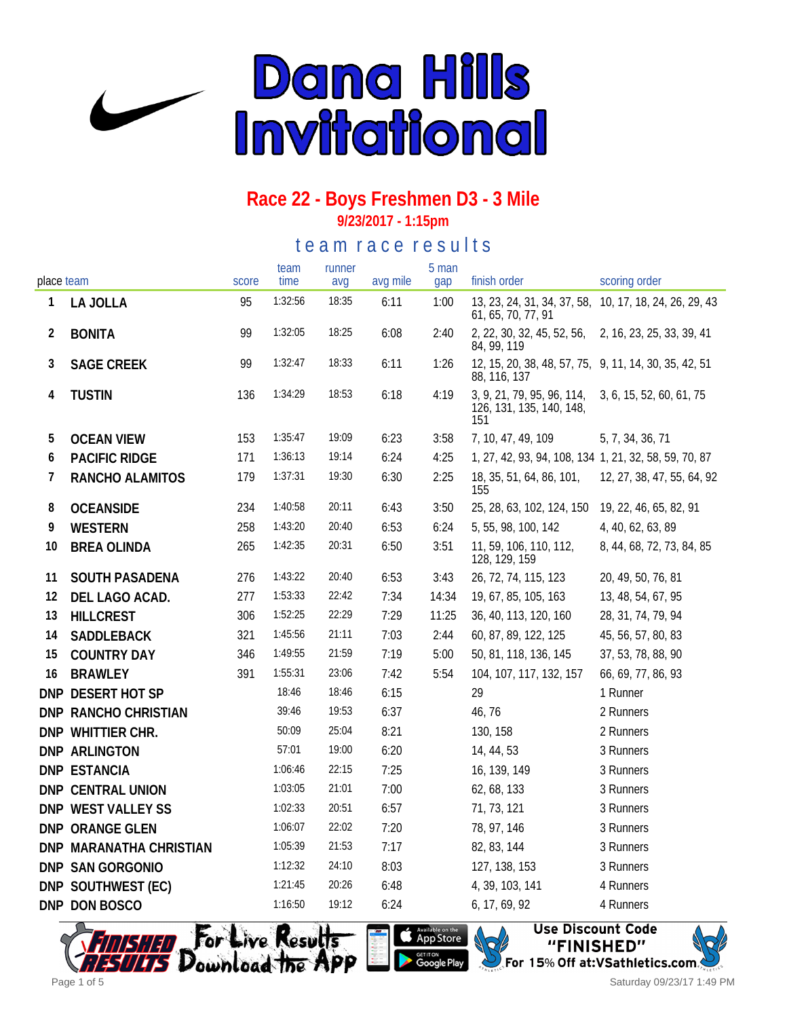

**9/23/2017 - 1:15pm**

te a m r a c e r e s ults

|            |                         |       | team    | runner |          | 5 man |                                                                              |                            |
|------------|-------------------------|-------|---------|--------|----------|-------|------------------------------------------------------------------------------|----------------------------|
| place team |                         | score | time    | avg    | avg mile | gap   | finish order                                                                 | scoring order              |
| 1          | LA JOLLA                | 95    | 1:32:56 | 18:35  | 6:11     | 1:00  | 13, 23, 24, 31, 34, 37, 58, 10, 17, 18, 24, 26, 29, 43<br>61, 65, 70, 77, 91 |                            |
| 2          | <b>BONITA</b>           | 99    | 1:32:05 | 18:25  | 6:08     | 2:40  | 2, 22, 30, 32, 45, 52, 56,<br>84, 99, 119                                    | 2, 16, 23, 25, 33, 39, 41  |
| 3          | <b>SAGE CREEK</b>       | 99    | 1:32:47 | 18:33  | 6:11     | 1:26  | 12, 15, 20, 38, 48, 57, 75, 9, 11, 14, 30, 35, 42, 51<br>88, 116, 137        |                            |
| 4          | <b>TUSTIN</b>           | 136   | 1:34:29 | 18:53  | 6:18     | 4:19  | 3, 9, 21, 79, 95, 96, 114,<br>126, 131, 135, 140, 148,<br>151                | 3, 6, 15, 52, 60, 61, 75   |
| 5          | <b>OCEAN VIEW</b>       | 153   | 1:35:47 | 19:09  | 6:23     | 3:58  | 7, 10, 47, 49, 109                                                           | 5, 7, 34, 36, 71           |
| 6          | PACIFIC RIDGE           | 171   | 1:36:13 | 19:14  | 6:24     | 4:25  | 1, 27, 42, 93, 94, 108, 134 1, 21, 32, 58, 59, 70, 87                        |                            |
| 7          | RANCHO ALAMITOS         | 179   | 1:37:31 | 19:30  | 6:30     | 2:25  | 18, 35, 51, 64, 86, 101,<br>155                                              | 12, 27, 38, 47, 55, 64, 92 |
| 8          | <b>OCEANSIDE</b>        | 234   | 1:40:58 | 20:11  | 6:43     | 3:50  | 25, 28, 63, 102, 124, 150                                                    | 19, 22, 46, 65, 82, 91     |
| 9          | <b>WESTERN</b>          | 258   | 1:43:20 | 20:40  | 6:53     | 6:24  | 5, 55, 98, 100, 142                                                          | 4, 40, 62, 63, 89          |
| 10         | <b>BREA OLINDA</b>      | 265   | 1:42:35 | 20:31  | 6:50     | 3:51  | 11, 59, 106, 110, 112,<br>128, 129, 159                                      | 8, 44, 68, 72, 73, 84, 85  |
| 11         | SOUTH PASADENA          | 276   | 1:43:22 | 20:40  | 6:53     | 3:43  | 26, 72, 74, 115, 123                                                         | 20, 49, 50, 76, 81         |
| 12         | DEL LAGO ACAD.          | 277   | 1:53:33 | 22:42  | 7:34     | 14:34 | 19, 67, 85, 105, 163                                                         | 13, 48, 54, 67, 95         |
| 13         | <b>HILLCREST</b>        | 306   | 1:52:25 | 22:29  | 7:29     | 11:25 | 36, 40, 113, 120, 160                                                        | 28, 31, 74, 79, 94         |
| 14         | SADDLEBACK              | 321   | 1:45:56 | 21:11  | 7:03     | 2:44  | 60, 87, 89, 122, 125                                                         | 45, 56, 57, 80, 83         |
| 15         | <b>COUNTRY DAY</b>      | 346   | 1:49:55 | 21:59  | 7:19     | 5:00  | 50, 81, 118, 136, 145                                                        | 37, 53, 78, 88, 90         |
| 16         | <b>BRAWLEY</b>          | 391   | 1:55:31 | 23:06  | 7:42     | 5:54  | 104, 107, 117, 132, 157                                                      | 66, 69, 77, 86, 93         |
|            | DNP DESERT HOT SP       |       | 18:46   | 18:46  | 6:15     |       | 29                                                                           | 1 Runner                   |
|            | DNP RANCHO CHRISTIAN    |       | 39:46   | 19:53  | 6:37     |       | 46,76                                                                        | 2 Runners                  |
|            | DNP WHITTIER CHR.       |       | 50:09   | 25:04  | 8:21     |       | 130, 158                                                                     | 2 Runners                  |
|            | <b>DNP ARLINGTON</b>    |       | 57:01   | 19:00  | 6:20     |       | 14, 44, 53                                                                   | 3 Runners                  |
|            | <b>DNP ESTANCIA</b>     |       | 1:06:46 | 22:15  | 7:25     |       | 16, 139, 149                                                                 | 3 Runners                  |
|            | DNP CENTRAL UNION       |       | 1:03:05 | 21:01  | 7:00     |       | 62, 68, 133                                                                  | 3 Runners                  |
|            | DNP WEST VALLEY SS      |       | 1:02:33 | 20:51  | 6:57     |       | 71, 73, 121                                                                  | 3 Runners                  |
|            | DNP ORANGE GLEN         |       | 1:06:07 | 22:02  | 7:20     |       | 78, 97, 146                                                                  | 3 Runners                  |
|            | DNP MARANATHA CHRISTIAN |       | 1:05:39 | 21:53  | 7:17     |       | 82, 83, 144                                                                  | 3 Runners                  |
|            | DNP SAN GORGONIO        |       | 1:12:32 | 24:10  | 8:03     |       | 127, 138, 153                                                                | 3 Runners                  |
|            | DNP SOUTHWEST (EC)      |       | 1:21:45 | 20:26  | 6:48     |       | 4, 39, 103, 141                                                              | 4 Runners                  |
|            | DNP DON BOSCO           |       | 1:16:50 | 19:12  | 6:24     |       | 6, 17, 69, 92                                                                | 4 Runners                  |





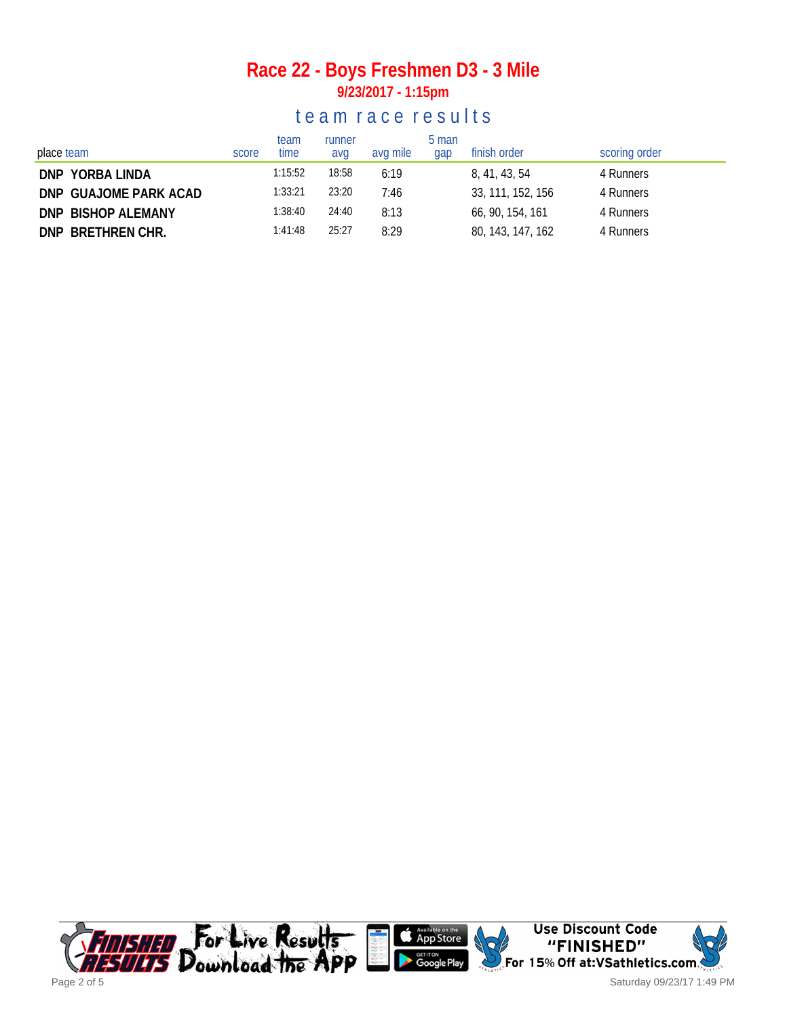**9/23/2017 - 1:15pm**

#### te a m r a c e r e s ults

| place team            | score | team<br>time | runner<br>avg | avg mile | 5 man<br>gap | finish order      | scoring order |
|-----------------------|-------|--------------|---------------|----------|--------------|-------------------|---------------|
| DNP YORBA LINDA       |       | 1:15:52      | 18:58         | 6:19     |              | 8, 41, 43, 54     | 4 Runners     |
| DNP GUAJOME PARK ACAD |       | 1:33:21      | 23:20         | 7:46     |              | 33, 111, 152, 156 | 4 Runners     |
| DNP BISHOP ALEMANY    |       | 1:38:40      | 24:40         | 8:13     |              | 66, 90, 154, 161  | 4 Runners     |
| DNP BRETHREN CHR.     |       | 1:41:48      | 25:27         | 8:29     |              | 80, 143, 147, 162 | 4 Runners     |

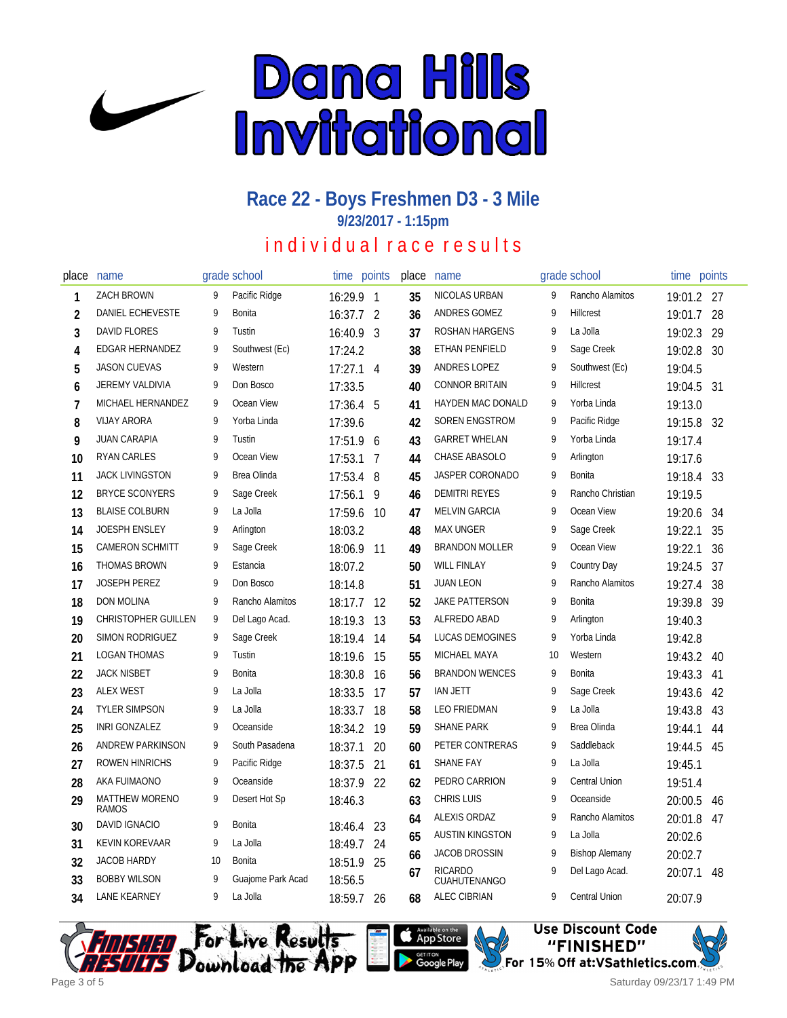

**9/23/2017 - 1:15pm**

### in dividual race results

| place | name                       |    | grade school      | time        | points         | place | name                           |    | grade school          | time       | points |
|-------|----------------------------|----|-------------------|-------------|----------------|-------|--------------------------------|----|-----------------------|------------|--------|
| 1     | <b>ZACH BROWN</b>          | 9  | Pacific Ridge     | 16:29.9 1   |                | 35    | NICOLAS URBAN                  | 9  | Rancho Alamitos       | 19:01.2 27 |        |
| 2     | DANIEL ECHEVESTE           | 9  | Bonita            | 16:37.7 2   |                | 36    | ANDRES GOMEZ                   | 9  | Hillcrest             | 19:01.7    | 28     |
| 3     | <b>DAVID FLORES</b>        | 9  | Tustin            | 16:40.9     | $\overline{3}$ | 37    | <b>ROSHAN HARGENS</b>          | 9  | La Jolla              | 19:02.3    | 29     |
| 4     | <b>EDGAR HERNANDEZ</b>     | 9  | Southwest (Ec)    | 17:24.2     |                | 38    | ETHAN PENFIELD                 | 9  | Sage Creek            | 19:02.8    | 30     |
| 5     | <b>JASON CUEVAS</b>        | 9  | Western           | $17:27.1$ 4 |                | 39    | ANDRES LOPEZ                   | 9  | Southwest (Ec)        | 19:04.5    |        |
| 6     | JEREMY VALDIVIA            | 9  | Don Bosco         | 17:33.5     |                | 40    | <b>CONNOR BRITAIN</b>          | 9  | Hillcrest             | 19:04.5    | 31     |
| 7     | MICHAEL HERNANDEZ          | 9  | Ocean View        | 17:36.4     | 5              | 41    | HAYDEN MAC DONALD              | 9  | Yorba Linda           | 19:13.0    |        |
| 8     | <b>VIJAY ARORA</b>         | 9  | Yorba Linda       | 17:39.6     |                | 42    | SOREN ENGSTROM                 | 9  | Pacific Ridge         | 19:15.8    | 32     |
| 9     | <b>JUAN CARAPIA</b>        | 9  | Tustin            | 17:51.9 6   |                | 43    | <b>GARRET WHELAN</b>           | 9  | Yorba Linda           | 19:17.4    |        |
| 10    | <b>RYAN CARLES</b>         | 9  | Ocean View        | 17:53.1     | 7              | 44    | CHASE ABASOLO                  | 9  | Arlington             | 19:17.6    |        |
| 11    | <b>JACK LIVINGSTON</b>     | 9  | Brea Olinda       | 17:53.4 8   |                | 45    | JASPER CORONADO                | 9  | Bonita                | 19:18.4    | 33     |
| 12    | <b>BRYCE SCONYERS</b>      | 9  | Sage Creek        | 17:56.1     | - 9            | 46    | <b>DEMITRI REYES</b>           | 9  | Rancho Christian      | 19:19.5    |        |
| 13    | <b>BLAISE COLBURN</b>      | 9  | La Jolla          | 17:59.6     | 10             | 47    | <b>MELVIN GARCIA</b>           | 9  | Ocean View            | 19:20.6    | 34     |
| 14    | JOESPH ENSLEY              | 9  | Arlington         | 18:03.2     |                | 48    | <b>MAX UNGER</b>               | 9  | Sage Creek            | 19:22.1    | 35     |
| 15    | <b>CAMERON SCHMITT</b>     | 9  | Sage Creek        | 18:06.9     | 11             | 49    | <b>BRANDON MOLLER</b>          | 9  | Ocean View            | 19:22.1    | 36     |
| 16    | THOMAS BROWN               | 9  | Estancia          | 18:07.2     |                | 50    | <b>WILL FINLAY</b>             | 9  | Country Day           | 19:24.5    | 37     |
| 17    | <b>JOSEPH PEREZ</b>        | 9  | Don Bosco         | 18:14.8     |                | 51    | <b>JUAN LEON</b>               | 9  | Rancho Alamitos       | 19:27.4    | 38     |
| 18    | <b>DON MOLINA</b>          | 9  | Rancho Alamitos   | 18:17.7 12  |                | 52    | JAKE PATTERSON                 | 9  | <b>Bonita</b>         | 19:39.8    | 39     |
| 19    | <b>CHRISTOPHER GUILLEN</b> | 9  | Del Lago Acad.    | 18:19.3     | 13             | 53    | ALFREDO ABAD                   | 9  | Arlington             | 19:40.3    |        |
| 20    | SIMON RODRIGUEZ            | 9  | Sage Creek        | 18:19.4     | 14             | 54    | LUCAS DEMOGINES                | 9  | Yorba Linda           | 19:42.8    |        |
| 21    | <b>LOGAN THOMAS</b>        | 9  | Tustin            | 18:19.6     | 15             | 55    | MICHAEL MAYA                   | 10 | Western               | 19:43.2    | 40     |
| 22    | <b>JACK NISBET</b>         | 9  | Bonita            | 18:30.8     | 16             | 56    | <b>BRANDON WENCES</b>          | 9  | <b>Bonita</b>         | 19:43.3    | 41     |
| 23    | <b>ALEX WEST</b>           | 9  | La Jolla          | 18:33.5     | 17             | 57    | <b>IAN JETT</b>                | 9  | Sage Creek            | 19:43.6    | 42     |
| 24    | <b>TYLER SIMPSON</b>       | 9  | La Jolla          | 18:33.7     | 18             | 58    | <b>LEO FRIEDMAN</b>            | 9  | La Jolla              | 19:43.8    | 43     |
| 25    | <b>INRI GONZALEZ</b>       | 9  | Oceanside         | 18:34.2     | 19             | 59    | <b>SHANE PARK</b>              | 9  | Brea Olinda           | 19:44.1    | 44     |
| 26    | ANDREW PARKINSON           | 9  | South Pasadena    | 18:37.1     | 20             | 60    | PETER CONTRERAS                | 9  | Saddleback            | 19:44.5    | 45     |
| 27    | ROWEN HINRICHS             | 9  | Pacific Ridge     | 18:37.5     | 21             | 61    | <b>SHANE FAY</b>               | 9  | La Jolla              | 19:45.1    |        |
| 28    | AKA FUIMAONO               | 9  | Oceanside         | 18:37.9     | 22             | 62    | PEDRO CARRION                  | 9  | <b>Central Union</b>  | 19:51.4    |        |
| 29    | MATTHEW MORENO<br>RAMOS    | 9  | Desert Hot Sp     | 18:46.3     |                | 63    | <b>CHRIS LUIS</b>              | 9  | Oceanside             | 20:00.5    | 46     |
| 30    | DAVID IGNACIO              | 9  | <b>Bonita</b>     | 18:46.4     | 23             | 64    | ALEXIS ORDAZ                   | 9  | Rancho Alamitos       | 20:01.8    | 47     |
| 31    | <b>KEVIN KOREVAAR</b>      | 9  | La Jolla          | 18:49.7     | 24             | 65    | <b>AUSTIN KINGSTON</b>         | 9  | La Jolla              | 20:02.6    |        |
| 32    | <b>JACOB HARDY</b>         | 10 | Bonita            | 18:51.9     | 25             | 66    | <b>JACOB DROSSIN</b>           | 9  | <b>Bishop Alemany</b> | 20:02.7    |        |
| 33    | <b>BOBBY WILSON</b>        | 9  | Guajome Park Acad | 18:56.5     |                | 67    | <b>RICARDO</b><br>CUAHUTENANGO | 9  | Del Lago Acad.        | 20:07.1    | 48     |
| 34    | LANE KEARNEY               | 9  | La Jolla          | 18:59.7     | -26            | 68    | <b>ALEC CIBRIAN</b>            | 9  | <b>Central Union</b>  | 20:07.9    |        |





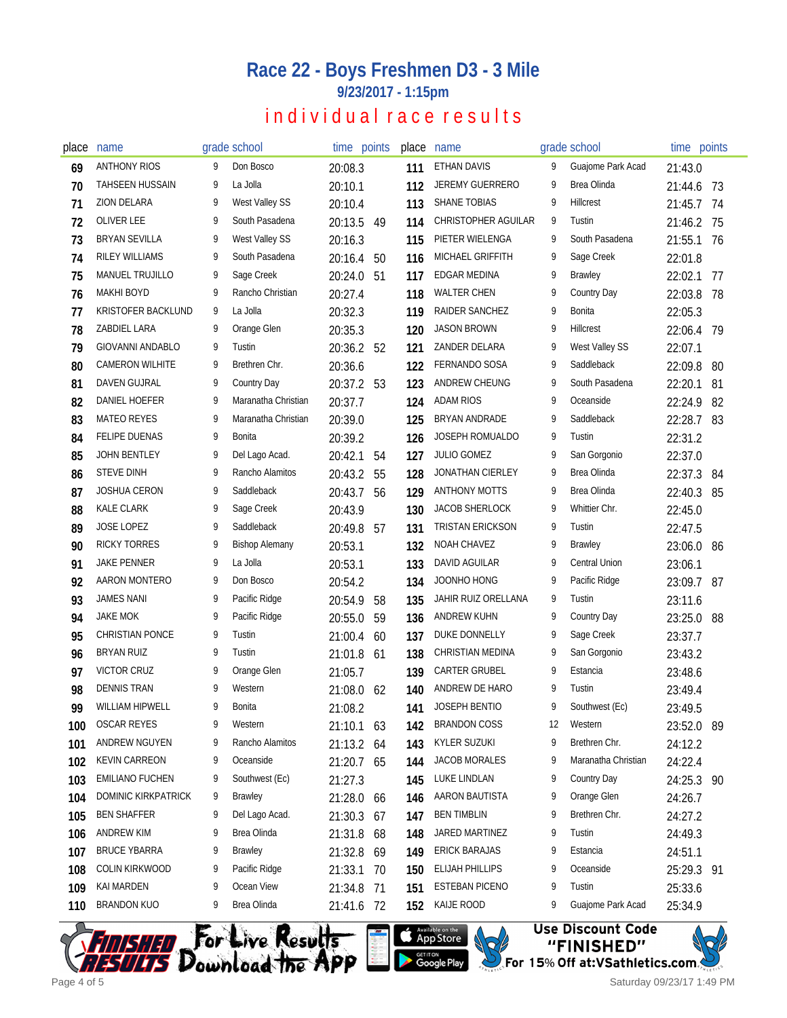**9/23/2017 - 1:15pm**

#### individual race results

| place | name                      |   | grade school          | time points |    | place | name                    |    | grade school        | time points |     |
|-------|---------------------------|---|-----------------------|-------------|----|-------|-------------------------|----|---------------------|-------------|-----|
| 69    | <b>ANTHONY RIOS</b>       | 9 | Don Bosco             | 20:08.3     |    | 111   | ETHAN DAVIS             | 9  | Guajome Park Acad   | 21:43.0     |     |
| 70    | TAHSEEN HUSSAIN           | 9 | La Jolla              | 20:10.1     |    | 112   | <b>JEREMY GUERRERO</b>  | 9  | Brea Olinda         | 21:44.6     | 73  |
| 71    | ZION DELARA               | 9 | West Valley SS        | 20:10.4     |    | 113   | SHANE TOBIAS            | 9  | <b>Hillcrest</b>    | 21:45.7     | 74  |
| 72    | <b>OLIVER LEE</b>         | 9 | South Pasadena        | 20:13.5     | 49 | 114   | CHRISTOPHER AGUILAR     | 9  | Tustin              | 21:46.2     | 75  |
| 73    | <b>BRYAN SEVILLA</b>      | 9 | West Valley SS        | 20:16.3     |    | 115   | PIETER WIELENGA         | 9  | South Pasadena      | 21:55.1     | 76  |
| 74    | <b>RILEY WILLIAMS</b>     | 9 | South Pasadena        | 20:16.4     | 50 | 116   | MICHAEL GRIFFITH        | 9  | Sage Creek          | 22:01.8     |     |
| 75    | MANUEL TRUJILLO           | 9 | Sage Creek            | 20:24.0     | 51 | 117   | <b>EDGAR MEDINA</b>     | 9  | Brawley             | 22:02.1     | 77  |
| 76    | <b>MAKHI BOYD</b>         | 9 | Rancho Christian      | 20:27.4     |    | 118   | <b>WALTER CHEN</b>      | 9  | Country Day         | 22:03.8     | 78  |
| 77    | <b>KRISTOFER BACKLUND</b> | 9 | La Jolla              | 20:32.3     |    | 119   | RAIDER SANCHEZ          | 9  | Bonita              | 22:05.3     |     |
| 78    | ZABDIEL LARA              | 9 | Orange Glen           | 20:35.3     |    | 120   | <b>JASON BROWN</b>      | 9  | Hillcrest           | 22:06.4     | 79  |
| 79    | <b>GIOVANNI ANDABLO</b>   | 9 | Tustin                | 20:36.2 52  |    | 121   | ZANDER DELARA           | 9  | West Valley SS      | 22:07.1     |     |
| 80    | <b>CAMERON WILHITE</b>    | 9 | Brethren Chr.         | 20:36.6     |    | 122   | FERNANDO SOSA           | 9  | Saddleback          | 22:09.8     | -80 |
| 81    | <b>DAVEN GUJRAL</b>       | 9 | Country Day           | 20:37.2 53  |    | 123   | ANDREW CHEUNG           | 9  | South Pasadena      | 22:20.1     | 81  |
| 82    | DANIEL HOEFER             | 9 | Maranatha Christian   | 20:37.7     |    | 124   | <b>ADAM RIOS</b>        | 9  | Oceanside           | 22:24.9     | 82  |
| 83    | <b>MATEO REYES</b>        | 9 | Maranatha Christian   | 20:39.0     |    | 125   | <b>BRYAN ANDRADE</b>    | 9  | Saddleback          | 22:28.7     | 83  |
| 84    | <b>FELIPE DUENAS</b>      | 9 | <b>Bonita</b>         | 20:39.2     |    | 126   | JOSEPH ROMUALDO         | 9  | Tustin              | 22:31.2     |     |
| 85    | <b>JOHN BENTLEY</b>       | 9 | Del Lago Acad.        | 20:42.1     | 54 | 127   | <b>JULIO GOMEZ</b>      | 9  | San Gorgonio        | 22:37.0     |     |
| 86    | <b>STEVE DINH</b>         | 9 | Rancho Alamitos       | 20:43.2     | 55 | 128   | <b>JONATHAN CIERLEY</b> | 9  | Brea Olinda         | 22:37.3     | 84  |
| 87    | <b>JOSHUA CERON</b>       | 9 | Saddleback            | 20:43.7     | 56 | 129   | <b>ANTHONY MOTTS</b>    | 9  | Brea Olinda         | 22:40.3     | 85  |
| 88    | <b>KALE CLARK</b>         | 9 | Sage Creek            | 20:43.9     |    | 130   | <b>JACOB SHERLOCK</b>   | 9  | Whittier Chr.       | 22:45.0     |     |
| 89    | <b>JOSE LOPEZ</b>         | 9 | Saddleback            | 20:49.8     | 57 | 131   | <b>TRISTAN ERICKSON</b> | 9  | Tustin              | 22:47.5     |     |
| 90    | <b>RICKY TORRES</b>       | 9 | <b>Bishop Alemany</b> | 20:53.1     |    | 132   | NOAH CHAVEZ             | 9  | Brawley             | 23:06.0     | 86  |
| 91    | JAKE PENNER               | 9 | La Jolla              | 20:53.1     |    | 133   | DAVID AGUILAR           | 9  | Central Union       | 23:06.1     |     |
| 92    | AARON MONTERO             | 9 | Don Bosco             | 20:54.2     |    | 134   | JOONHO HONG             | 9  | Pacific Ridge       | 23:09.7     | 87  |
| 93    | <b>JAMES NANI</b>         | 9 | Pacific Ridge         | 20:54.9     | 58 | 135   | JAHIR RUIZ ORELLANA     | 9  | Tustin              | 23:11.6     |     |
| 94    | <b>JAKE MOK</b>           | 9 | Pacific Ridge         | 20:55.0     | 59 | 136   | ANDREW KUHN             | 9  | Country Day         | 23:25.0     | 88  |
| 95    | <b>CHRISTIAN PONCE</b>    | 9 | Tustin                | 21:00.4     | 60 | 137   | <b>DUKE DONNELLY</b>    | 9  | Sage Creek          | 23:37.7     |     |
| 96    | <b>BRYAN RUIZ</b>         | 9 | Tustin                | 21:01.8     | 61 | 138   | CHRISTIAN MEDINA        | 9  | San Gorgonio        | 23:43.2     |     |
| 97    | <b>VICTOR CRUZ</b>        | 9 | Orange Glen           | 21:05.7     |    | 139   | <b>CARTER GRUBEL</b>    | 9  | Estancia            | 23:48.6     |     |
| 98    | <b>DENNIS TRAN</b>        | 9 | Western               | 21:08.0     | 62 | 140   | ANDREW DE HARO          | 9  | Tustin              | 23:49.4     |     |
| 99    | WILLIAM HIPWELL           | q | Bonita                | 21:08.2     |    | 141   | JOSEPH BENTIO           | 9  | Southwest (Ec)      | 23:49.5     |     |
| 100   | <b>OSCAR REYES</b>        | 9 | Western               | 21:10.1 63  |    | 142   | <b>BRANDON COSS</b>     | 12 | Western             | 23:52.0 89  |     |
| 101   | ANDREW NGUYEN             | 9 | Rancho Alamitos       | 21:13.2 64  |    | 143   | <b>KYLER SUZUKI</b>     | 9  | Brethren Chr.       | 24:12.2     |     |
| 102   | <b>KEVIN CARREON</b>      | 9 | Oceanside             | 21:20.7 65  |    | 144   | JACOB MORALES           | 9  | Maranatha Christian | 24:22.4     |     |
| 103   | <b>EMILIANO FUCHEN</b>    | 9 | Southwest (Ec)        | 21:27.3     |    | 145   | LUKE LINDLAN            | 9  | Country Day         | 24:25.3 90  |     |
| 104   | DOMINIC KIRKPATRICK       | 9 | Brawley               | 21:28.0     | 66 | 146   | AARON BAUTISTA          | 9  | Orange Glen         | 24:26.7     |     |
| 105   | <b>BEN SHAFFER</b>        | 9 | Del Lago Acad.        | 21:30.3 67  |    | 147   | <b>BEN TIMBLIN</b>      | 9  | Brethren Chr.       | 24:27.2     |     |
| 106   | <b>ANDREW KIM</b>         | 9 | Brea Olinda           | 21:31.8     | 68 | 148   | JARED MARTINEZ          | 9  | Tustin              | 24:49.3     |     |
| 107   | <b>BRUCE YBARRA</b>       | 9 | Brawley               | 21:32.8 69  |    | 149   | <b>ERICK BARAJAS</b>    | 9  | Estancia            | 24:51.1     |     |
| 108   | COLIN KIRKWOOD            | 9 | Pacific Ridge         | 21:33.1     | 70 | 150   | ELIJAH PHILLIPS         | 9  | Oceanside           | 25:29.3     | -91 |
| 109   | KAI MARDEN                | 9 | Ocean View            | 21:34.8     | 71 | 151   | <b>ESTEBAN PICENO</b>   | 9  | Tustin              | 25:33.6     |     |
| 110   | <b>BRANDON KUO</b>        | 9 | Brea Olinda           | 21:41.6 72  |    | 152   | KAIJE ROOD              | 9  | Guajome Park Acad   | 25:34.9     |     |